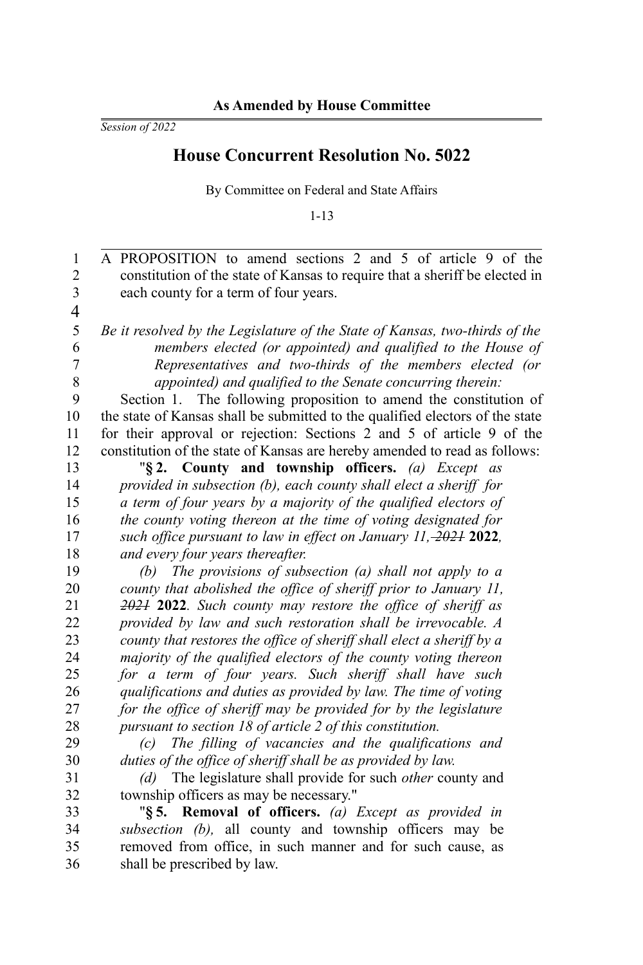*Session of 2022*

## **House Concurrent Resolution No. 5022**

By Committee on Federal and State Affairs

1-13

A PROPOSITION to amend sections 2 and 5 of article 9 of the constitution of the state of Kansas to require that a sheriff be elected in each county for a term of four years. *Be it resolved by the Legislature of the State of Kansas, two-thirds of the members elected (or appointed) and qualified to the House of Representatives and two-thirds of the members elected (or appointed) and qualified to the Senate concurring therein:* Section 1. The following proposition to amend the constitution of the state of Kansas shall be submitted to the qualified electors of the state for their approval or rejection: Sections 2 and 5 of article 9 of the constitution of the state of Kansas are hereby amended to read as follows: "**§ 2. County and township officers.** *(a) Except as provided in subsection (b), each county shall elect a sheriff for a term of four years by a majority of the qualified electors of the county voting thereon at the time of voting designated for such office pursuant to law in effect on January 11, 2021* **2022***, and every four years thereafter. (b) The provisions of subsection (a) shall not apply to a county that abolished the office of sheriff prior to January 11, 2021* **2022***. Such county may restore the office of sheriff as provided by law and such restoration shall be irrevocable. A county that restores the office of sheriff shall elect a sheriff by a majority of the qualified electors of the county voting thereon for a term of four years. Such sheriff shall have such qualifications and duties as provided by law. The time of voting for the office of sheriff may be provided for by the legislature pursuant to section 18 of article 2 of this constitution. (c) The filling of vacancies and the qualifications and duties of the office of sheriff shall be as provided by law. (d)* The legislature shall provide for such *other* county and township officers as may be necessary." "**§ 5. Removal of officers.** *(a) Except as provided in subsection (b),* all county and township officers may be removed from office, in such manner and for such cause, as shall be prescribed by law. 1 2 3 4 5 6 7 8 9 10 11 12 13 14 15 16 17 18 19 20 21  $22$ 23  $24$ 25 26 27 28 29 30 31 32 33 34 35 36